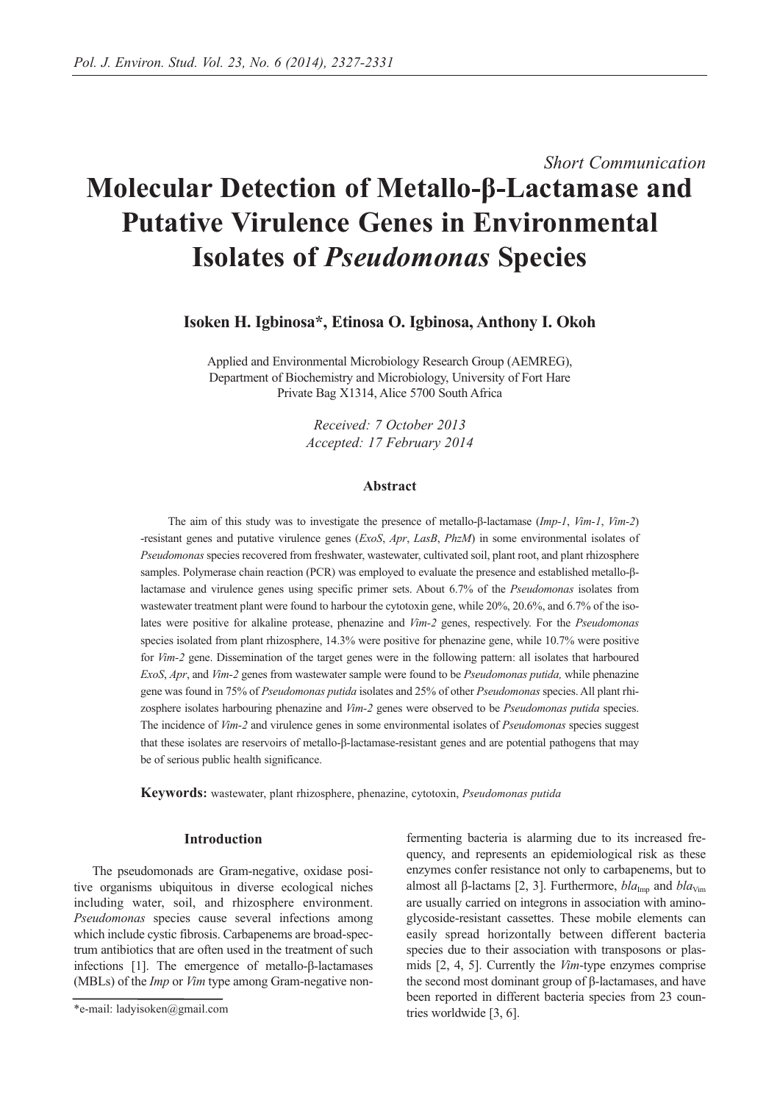# *Short Communication*

# **Molecular Detection of Metallo-β-Lactamase and Putative Virulence Genes in Environmental Isolates of** *Pseudomonas* **Species**

**Isoken H. Igbinosa\*, Etinosa O. Igbinosa, Anthony I. Okoh**

Applied and Environmental Microbiology Research Group (AEMREG), Department of Biochemistry and Microbiology, University of Fort Hare Private Bag X1314, Alice 5700 South Africa

> *Received: 7 October 2013 Accepted: 17 February 2014*

## **Abstract**

The aim of this study was to investigate the presence of metallo-β-lactamase (*Imp-1*, *Vim-1*, *Vim-2*) -resistant genes and putative virulence genes (*ExoS*, *Apr*, *LasB*, *PhzM*) in some environmental isolates of *Pseudomonas* species recovered from freshwater, wastewater, cultivated soil, plant root, and plant rhizosphere samples. Polymerase chain reaction (PCR) was employed to evaluate the presence and established metallo-βlactamase and virulence genes using specific primer sets. About 6.7% of the *Pseudomonas* isolates from wastewater treatment plant were found to harbour the cytotoxin gene, while 20%, 20.6%, and 6.7% of the isolates were positive for alkaline protease, phenazine and *Vim-2* genes, respectively. For the *Pseudomonas* species isolated from plant rhizosphere, 14.3% were positive for phenazine gene, while 10.7% were positive for *Vim-2* gene. Dissemination of the target genes were in the following pattern: all isolates that harboured *ExoS*, *Apr*, and *Vim-2* genes from wastewater sample were found to be *Pseudomonas putida,* while phenazine gene was found in 75% of *Pseudomonas putida* isolates and 25% of other *Pseudomonas* species. All plant rhizosphere isolates harbouring phenazine and *Vim-2* genes were observed to be *Pseudomonas putida* species. The incidence of *Vim-2* and virulence genes in some environmental isolates of *Pseudomonas* species suggest that these isolates are reservoirs of metallo-β-lactamase-resistant genes and are potential pathogens that may be of serious public health significance.

**Keywords:** wastewater, plant rhizosphere, phenazine, cytotoxin, *Pseudomonas putida*

## **Introduction**

The pseudomonads are Gram-negative, oxidase positive organisms ubiquitous in diverse ecological niches including water, soil, and rhizosphere environment. *Pseudomonas* species cause several infections among which include cystic fibrosis. Carbapenems are broad-spectrum antibiotics that are often used in the treatment of such infections [1]. The emergence of metallo-β-lactamases (MBLs) of the *Imp* or *Vim* type among Gram-negative nonfermenting bacteria is alarming due to its increased frequency, and represents an epidemiological risk as these enzymes confer resistance not only to carbapenems, but to almost all β-lactams [2, 3]. Furthermore, *bla*<sub>Imp</sub> and *bla*<sub>Vim</sub> are usually carried on integrons in association with aminoglycoside-resistant cassettes. These mobile elements can easily spread horizontally between different bacteria species due to their association with transposons or plasmids [2, 4, 5]. Currently the *Vim*-type enzymes comprise the second most dominant group of β-lactamases, and have been reported in different bacteria species from 23 countries worldwide [3, 6].

<sup>\*</sup>e-mail: ladyisoken@gmail.com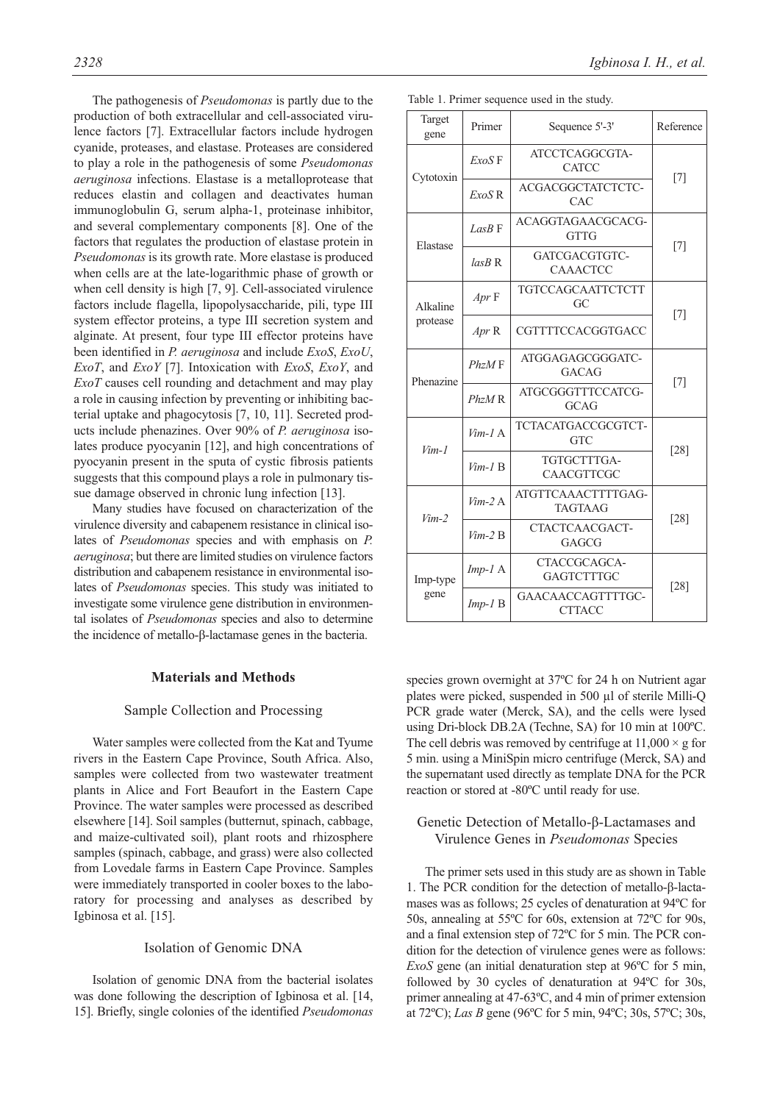The pathogenesis of *Pseudomonas* is partly due to the production of both extracellular and cell-associated virulence factors [7]. Extracellular factors include hydrogen cyanide, proteases, and elastase. Proteases are considered to play a role in the pathogenesis of some *Pseudomonas aeruginosa* infections. Elastase is a metalloprotease that reduces elastin and collagen and deactivates human immunoglobulin G, serum alpha-1, proteinase inhibitor, and several complementary components [8]. One of the factors that regulates the production of elastase protein in *Pseudomonas* is its growth rate. More elastase is produced when cells are at the late-logarithmic phase of growth or when cell density is high [7, 9]. Cell-associated virulence factors include flagella, lipopolysaccharide, pili, type III system effector proteins, a type III secretion system and alginate. At present, four type III effector proteins have been identified in *P. aeruginosa* and include *ExoS*, *ExoU*, *ExoT*, and *ExoY* [7]. Intoxication with *ExoS*, *ExoY*, and *ExoT* causes cell rounding and detachment and may play a role in causing infection by preventing or inhibiting bacterial uptake and phagocytosis [7, 10, 11]. Secreted products include phenazines. Over 90% of *P. aeruginosa* isolates produce pyocyanin [12], and high concentrations of pyocyanin present in the sputa of cystic fibrosis patients suggests that this compound plays a role in pulmonary tissue damage observed in chronic lung infection [13].

Many studies have focused on characterization of the virulence diversity and cabapenem resistance in clinical isolates of *Pseudomonas* species and with emphasis on *P. aeruginosa*; but there are limited studies on virulence factors distribution and cabapenem resistance in environmental isolates of *Pseudomonas* species. This study was initiated to investigate some virulence gene distribution in environmental isolates of *Pseudomonas* species and also to determine the incidence of metallo-β-lactamase genes in the bacteria.

#### **Materials and Methods**

## Sample Collection and Processing

Water samples were collected from the Kat and Tyume rivers in the Eastern Cape Province, South Africa. Also, samples were collected from two wastewater treatment plants in Alice and Fort Beaufort in the Eastern Cape Province. The water samples were processed as described elsewhere [14]. Soil samples (butternut, spinach, cabbage, and maize-cultivated soil), plant roots and rhizosphere samples (spinach, cabbage, and grass) were also collected from Lovedale farms in Eastern Cape Province. Samples were immediately transported in cooler boxes to the laboratory for processing and analyses as described by Igbinosa et al. [15].

#### Isolation of Genomic DNA

Isolation of genomic DNA from the bacterial isolates was done following the description of Igbinosa et al. [14, 15]. Briefly, single colonies of the identified *Pseudomonas*

|                      |                                               | Table 1. Primer sequence used in the study. |                   |  |
|----------------------|-----------------------------------------------|---------------------------------------------|-------------------|--|
| Target<br>gene       | Primer                                        | Sequence 5'-3'                              | Reference         |  |
| Cytotoxin            | ExoS F                                        | ATCCTCAGGCGTA-<br><b>CATCC</b>              |                   |  |
|                      | ExoS <sub>R</sub>                             | ACGACGGCTATCTCTC-<br>CAC                    | $[7]$             |  |
| Elastase             | $L$ as $B \to$                                | ACAGGTAGAACGCACG-<br><b>GTTG</b>            |                   |  |
|                      | $lasB$ R                                      | GATCGACGTGTC-<br><b>CAAACTCC</b>            | $[7]$             |  |
| Alkaline<br>protease | Apr F                                         | TGTCCAGCAATTCTCTT<br>GC                     |                   |  |
|                      | Apr <sub>R</sub>                              | CGTTTTCCACGGTGACC                           | $[7]$             |  |
| Phenazine            | PhzM F                                        | ATGGAGAGCGGGATC-<br><b>GACAG</b>            |                   |  |
|                      | $PhzM$ R                                      | ATGCGGGTTTCCATCG-<br><b>GCAG</b>            | $\lceil 7 \rceil$ |  |
| $Vim-1$              | $Vim-1$ A                                     | TCTACATGACCGCGTCT-<br><b>GTC</b>            |                   |  |
|                      | TGTGCTTTGA-<br>$Vim-I$ B<br><b>CAACGTTCGC</b> |                                             | $[28]$            |  |
| $Vim-2$              | $Vim-2A$                                      | ATGTTCAAACTTTTGAG-<br><b>TAGTAAG</b>        | $[28]$            |  |
|                      | $Vim-2 B$                                     | CTACTCAACGACT-<br><b>GAGCG</b>              |                   |  |
| Imp-type<br>gene     | $Imp-I A$                                     | CTACCGCAGCA-<br><b>GAGTCTTTGC</b>           | [28]              |  |
|                      | $Imp-I B$                                     | GAACAACCAGTTTTGC-<br><b>CTTACC</b>          |                   |  |

species grown overnight at 37ºC for 24 h on Nutrient agar plates were picked, suspended in 500 µl of sterile Milli-Q PCR grade water (Merck, SA), and the cells were lysed using Dri-block DB.2A (Techne, SA) for 10 min at 100ºC. The cell debris was removed by centrifuge at  $11,000 \times g$  for 5 min. using a MiniSpin micro centrifuge (Merck, SA) and the supernatant used directly as template DNA for the PCR reaction or stored at -80ºC until ready for use.

# Genetic Detection of Metallo-β-Lactamases and Virulence Genes in *Pseudomonas* Species

The primer sets used in this study are as shown in Table 1. The PCR condition for the detection of metallo-β-lactamases was as follows; 25 cycles of denaturation at 94ºC for 50s, annealing at 55ºC for 60s, extension at 72ºC for 90s, and a final extension step of 72ºC for 5 min. The PCR condition for the detection of virulence genes were as follows: *ExoS* gene (an initial denaturation step at 96ºC for 5 min, followed by 30 cycles of denaturation at 94ºC for 30s, primer annealing at 47-63ºC, and 4 min of primer extension at 72ºC); *Las B* gene (96ºC for 5 min, 94ºC; 30s, 57ºC; 30s,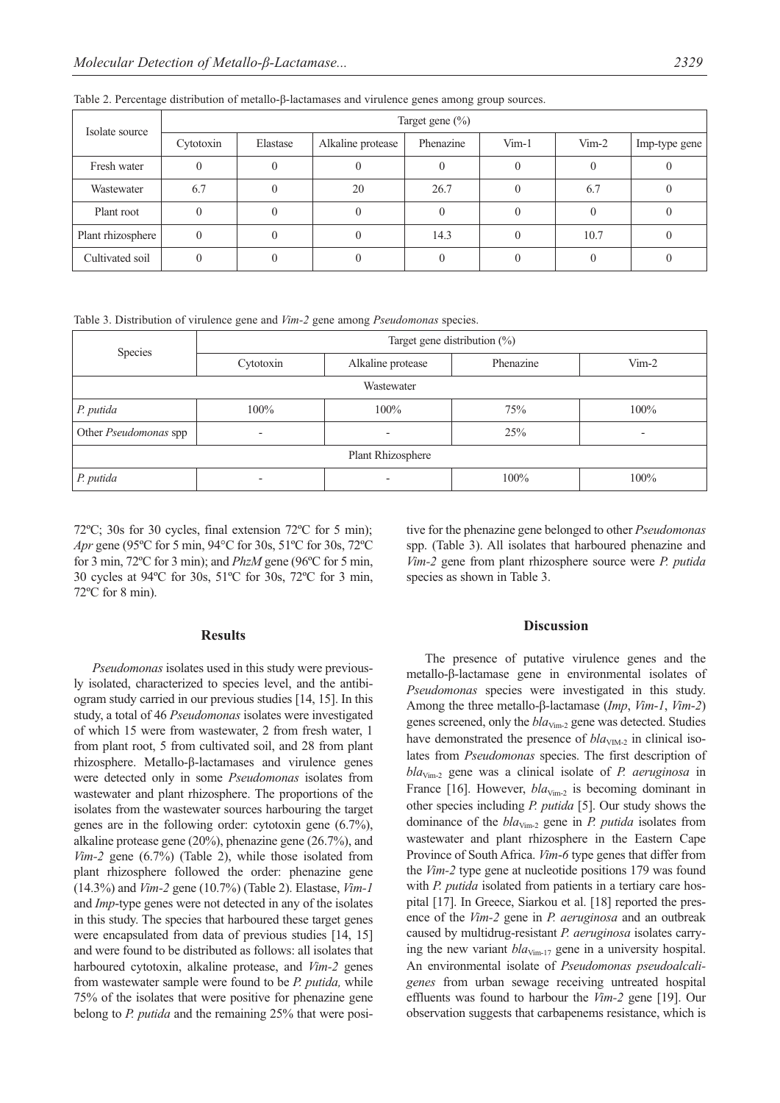| Isolate source    | Target gene $(\% )$ |          |                   |           |         |         |               |  |  |
|-------------------|---------------------|----------|-------------------|-----------|---------|---------|---------------|--|--|
|                   | Cytotoxin           | Elastase | Alkaline protease | Phenazine | $Vim-1$ | $Vim-2$ | Imp-type gene |  |  |
| Fresh water       |                     |          |                   |           |         |         |               |  |  |
| Wastewater        | 6.7                 |          | 20                | 26.7      |         | 6.7     |               |  |  |
| Plant root        |                     |          |                   |           |         |         |               |  |  |
| Plant rhizosphere | $\theta$            |          |                   | 14.3      |         | 10.7    |               |  |  |
| Cultivated soil   |                     |          |                   |           |         |         |               |  |  |

Table 2. Percentage distribution of metallo-β-lactamases and virulence genes among group sources.

Table 3. Distribution of virulence gene and *Vim-2* gene among *Pseudomonas* species.

| Species               | Target gene distribution $(\%)$ |                          |           |          |  |  |  |  |
|-----------------------|---------------------------------|--------------------------|-----------|----------|--|--|--|--|
|                       | Cytotoxin                       | Alkaline protease        | Phenazine | $V$ im-2 |  |  |  |  |
| Wastewater            |                                 |                          |           |          |  |  |  |  |
| P. putida             | 100%                            | $100\%$                  | 75%       | 100%     |  |  |  |  |
| Other Pseudomonas spp | $\overline{\phantom{0}}$        | $\overline{\phantom{a}}$ | 25%       |          |  |  |  |  |
| Plant Rhizosphere     |                                 |                          |           |          |  |  |  |  |
| P. putida             | $\overline{\phantom{0}}$        | $\overline{\phantom{0}}$ | 100%      | 100%     |  |  |  |  |

72ºC; 30s for 30 cycles, final extension 72ºC for 5 min); *Apr* gene (95ºC for 5 min, 94°C for 30s, 51ºC for 30s, 72ºC for 3 min, 72ºC for 3 min); and *PhzM* gene (96ºC for 5 min, 30 cycles at 94ºC for 30s, 51ºC for 30s, 72ºC for 3 min, 72ºC for 8 min).

tive for the phenazine gene belonged to other *Pseudomonas* spp. (Table 3). All isolates that harboured phenazine and *Vim-2* gene from plant rhizosphere source were *P. putida* species as shown in Table 3.

#### **Results**

*Pseudomonas* isolates used in this study were previously isolated, characterized to species level, and the antibiogram study carried in our previous studies [14, 15]. In this study, a total of 46 *Pseudomonas* isolates were investigated of which 15 were from wastewater, 2 from fresh water, 1 from plant root, 5 from cultivated soil, and 28 from plant rhizosphere. Metallo-β-lactamases and virulence genes were detected only in some *Pseudomonas* isolates from wastewater and plant rhizosphere. The proportions of the isolates from the wastewater sources harbouring the target genes are in the following order: cytotoxin gene (6.7%), alkaline protease gene (20%), phenazine gene (26.7%), and *Vim-2* gene (6.7%) (Table 2), while those isolated from plant rhizosphere followed the order: phenazine gene (14.3%) and *Vim-2* gene (10.7%) (Table 2). Elastase, *Vim-1* and *Imp*-type genes were not detected in any of the isolates in this study. The species that harboured these target genes were encapsulated from data of previous studies [14, 15] and were found to be distributed as follows: all isolates that harboured cytotoxin, alkaline protease, and *Vim-2* genes from wastewater sample were found to be *P. putida,* while 75% of the isolates that were positive for phenazine gene belong to *P. putida* and the remaining 25% that were posi-

## **Discussion**

The presence of putative virulence genes and the metallo-β-lactamase gene in environmental isolates of *Pseudomonas* species were investigated in this study. Among the three metallo-β-lactamase (*Imp*, *Vim*-*1*, *Vim*-*2*) genes screened, only the  $bla_{Vim-2}$  gene was detected. Studies have demonstrated the presence of  $bla<sub>VIM-2</sub>$  in clinical isolates from *Pseudomonas* species. The first description of *bla*Vim-2 gene was a clinical isolate of *P. aeruginosa* in France [16]. However,  $bla_{Vim-2}$  is becoming dominant in other species including *P. putida* [5]. Our study shows the dominance of the *bla*<sub>Vim-2</sub> gene in *P. putida* isolates from wastewater and plant rhizosphere in the Eastern Cape Province of South Africa. *Vim*-*6* type genes that differ from the *Vim-2* type gene at nucleotide positions 179 was found with *P. putida* isolated from patients in a tertiary care hospital [17]. In Greece, Siarkou et al. [18] reported the presence of the *Vim-2* gene in *P. aeruginosa* and an outbreak caused by multidrug-resistant *P. aeruginosa* isolates carrying the new variant  $bla_{Vim-17}$  gene in a university hospital. An environmental isolate of *Pseudomonas pseudoalcaligenes* from urban sewage receiving untreated hospital effluents was found to harbour the *Vim-2* gene [19]. Our observation suggests that carbapenems resistance, which is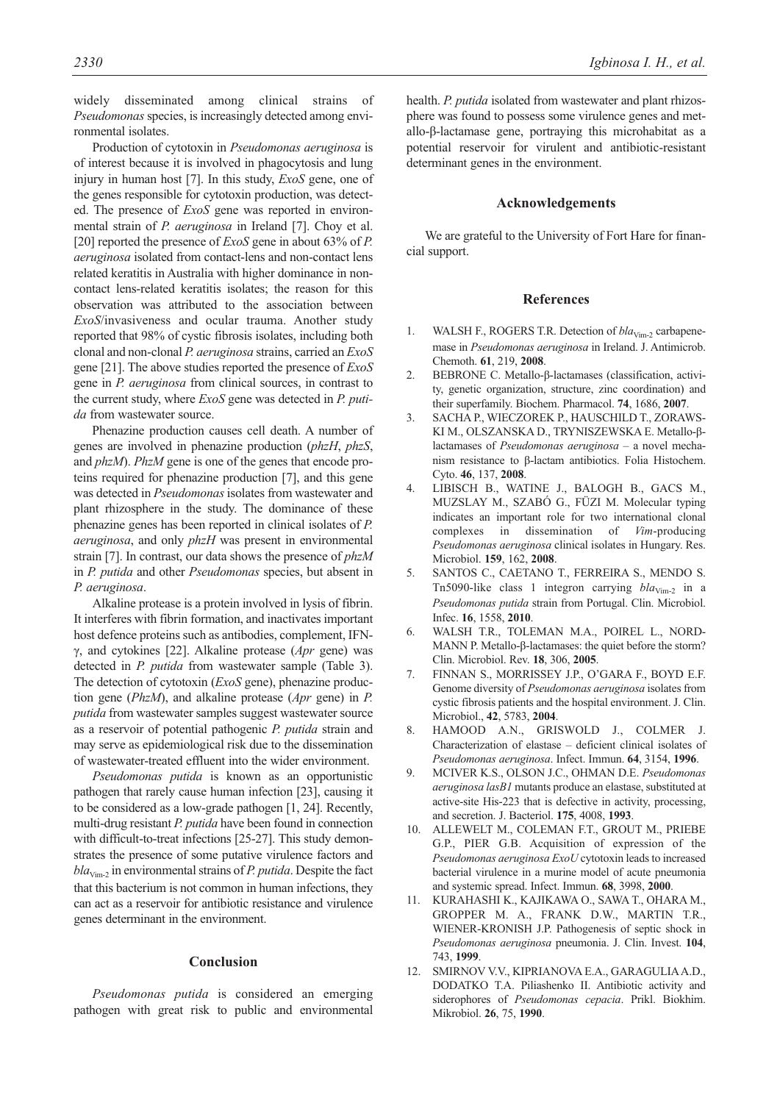widely disseminated among clinical strains of *Pseudomonas* species, is increasingly detected among environmental isolates.

Production of cytotoxin in *Pseudomonas aeruginosa* is of interest because it is involved in phagocytosis and lung injury in human host [7]. In this study, *ExoS* gene, one of the genes responsible for cytotoxin production, was detected. The presence of *ExoS* gene was reported in environmental strain of *P. aeruginosa* in Ireland [7]. Choy et al. [20] reported the presence of *ExoS* gene in about 63% of *P. aeruginosa* isolated from contact-lens and non-contact lens related keratitis in Australia with higher dominance in noncontact lens-related keratitis isolates; the reason for this observation was attributed to the association between *ExoS*/invasiveness and ocular trauma. Another study reported that 98% of cystic fibrosis isolates, including both clonal and non-clonal *P. aeruginosa* strains, carried an *ExoS* gene [21]. The above studies reported the presence of *ExoS* gene in *P. aeruginosa* from clinical sources, in contrast to the current study, where *ExoS* gene was detected in *P. putida* from wastewater source.

Phenazine production causes cell death. A number of genes are involved in phenazine production (*phzH*, *phzS*, and *phzM*). *PhzM* gene is one of the genes that encode proteins required for phenazine production [7], and this gene was detected in *Pseudomonas* isolates from wastewater and plant rhizosphere in the study. The dominance of these phenazine genes has been reported in clinical isolates of *P. aeruginosa*, and only *phzH* was present in environmental strain [7]. In contrast, our data shows the presence of *phzM* in *P. putida* and other *Pseudomonas* species, but absent in *P. aeruginosa*.

Alkaline protease is a protein involved in lysis of fibrin. It interferes with fibrin formation, and inactivates important host defence proteins such as antibodies, complement, IFNγ, and cytokines [22]. Alkaline protease (*Apr* gene) was detected in *P. putida* from wastewater sample (Table 3). The detection of cytotoxin (*ExoS* gene), phenazine production gene (*PhzM*), and alkaline protease (*Apr* gene) in *P. putida* from wastewater samples suggest wastewater source as a reservoir of potential pathogenic *P. putida* strain and may serve as epidemiological risk due to the dissemination of wastewater-treated effluent into the wider environment.

*Pseudomonas putida* is known as an opportunistic pathogen that rarely cause human infection [23], causing it to be considered as a low-grade pathogen [1, 24]. Recently, multi-drug resistant *P. putida* have been found in connection with difficult-to-treat infections [25-27]. This study demonstrates the presence of some putative virulence factors and  $bla<sub>Vi</sub>$ <sub>im-2</sub> in environmental strains of *P. putida*. Despite the fact that this bacterium is not common in human infections, they can act as a reservoir for antibiotic resistance and virulence genes determinant in the environment.

#### **Conclusion**

*Pseudomonas putida* is considered an emerging pathogen with great risk to public and environmental health. *P. putida* isolated from wastewater and plant rhizosphere was found to possess some virulence genes and metallo-β-lactamase gene, portraying this microhabitat as a potential reservoir for virulent and antibiotic-resistant determinant genes in the environment.

#### **Acknowledgements**

We are grateful to the University of Fort Hare for financial support.

## **References**

- 1. WALSH F., ROGERS T.R. Detection of  $bla_{Vim-2}$  carbapenemase in *Pseudomonas aeruginosa* in Ireland. J. Antimicrob. Chemoth. **61**, 219, **2008**.
- 2. BEBRONE C. Metallo-β-lactamases (classification, activity, genetic organization, structure, zinc coordination) and their superfamily. Biochem. Pharmacol. **74**, 1686, **2007**.
- 3. SACHA P., WIECZOREK P., HAUSCHILD T., ZORAWS-KI M., OLSZANSKA D., TRYNISZEWSKA E. Metallo-βlactamases of *Pseudomonas aeruginosa* – a novel mechanism resistance to β-lactam antibiotics. Folia Histochem. Cyto. **46**, 137, **2008**.
- 4. LIBISCH B., WATINE J., BALOGH B., GACS M., MUZSLAY M., SZABÓ G., FÜZI M. Molecular typing indicates an important role for two international clonal complexes in dissemination of *Vim*-producing *Pseudomonas aeruginosa* clinical isolates in Hungary. Res. Microbiol. **159**, 162, **2008**.
- 5. SANTOS C., CAETANO T., FERREIRA S., MENDO S. Tn5090-like class 1 integron carrying  $bla_{Vim-2}$  in a *Pseudomonas putida* strain from Portugal. Clin. Microbiol. Infec. **16**, 1558, **2010**.
- 6. WALSH T.R., TOLEMAN M.A., POIREL L., NORD-MANN P. Metallo-β-lactamases: the quiet before the storm? Clin. Microbiol. Rev. **18**, 306, **2005**.
- 7. FINNAN S., MORRISSEY J.P., O'GARA F., BOYD E.F. Genome diversity of *Pseudomonas aeruginosa* isolates from cystic fibrosis patients and the hospital environment. J. Clin. Microbiol., **42**, 5783, **2004**.
- 8. HAMOOD A.N., GRISWOLD J., COLMER J. Characterization of elastase – deficient clinical isolates of *Pseudomonas aeruginosa*. Infect. Immun. **64**, 3154, **1996**.
- 9. MCIVER K.S., OLSON J.C., OHMAN D.E. *Pseudomonas aeruginosa lasB1* mutants produce an elastase, substituted at active-site His-223 that is defective in activity, processing, and secretion. J. Bacteriol. **175**, 4008, **1993**.
- 10. ALLEWELT M., COLEMAN F.T., GROUT M., PRIEBE G.P., PIER G.B. Acquisition of expression of the *Pseudomonas aeruginosa ExoU* cytotoxin leads to increased bacterial virulence in a murine model of acute pneumonia and systemic spread. Infect. Immun. **68**, 3998, **2000**.
- 11. KURAHASHI K., KAJIKAWA O., SAWA T., OHARA M., GROPPER M. A., FRANK D.W., MARTIN T.R., WIENER-KRONISH J.P. Pathogenesis of septic shock in *Pseudomonas aeruginosa* pneumonia. J. Clin. Invest. **104**, 743, **1999**.
- 12. SMIRNOV V.V., KIPRIANOVA E.A., GARAGULIA A.D., DODATKO T.A. Piliashenko II. Antibiotic activity and siderophores of *Pseudomonas cepacia*. Prikl. Biokhim. Mikrobiol. **26**, 75, **1990**.